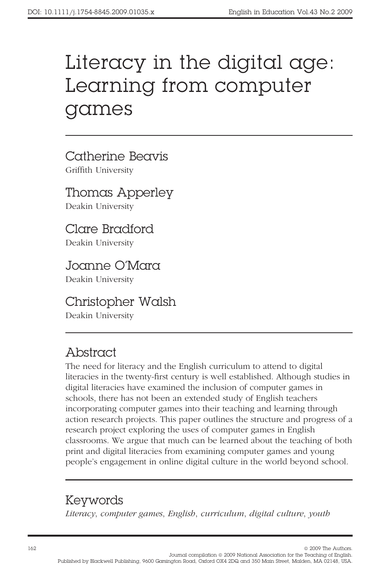# Literacy in the digital age: Learning from computer games

Catherine Beavis Griffith University

Thomas Apperley Deakin University

Clare Bradford Deakin University

Joanne O'Mara Deakin University

Christopher Walsh

Deakin University

# Abstract

The need for literacy and the English curriculum to attend to digital literacies in the twenty-first century is well established. Although studies in digital literacies have examined the inclusion of computer games in schools, there has not been an extended study of English teachers incorporating computer games into their teaching and learning through action research projects. This paper outlines the structure and progress of a research project exploring the uses of computer games in English classrooms. We argue that much can be learned about the teaching of both print and digital literacies from examining computer games and young people's engagement in online digital culture in the world beyond school.

# Keywords

Literacy, computer games, English, curriculum, digital culture, youth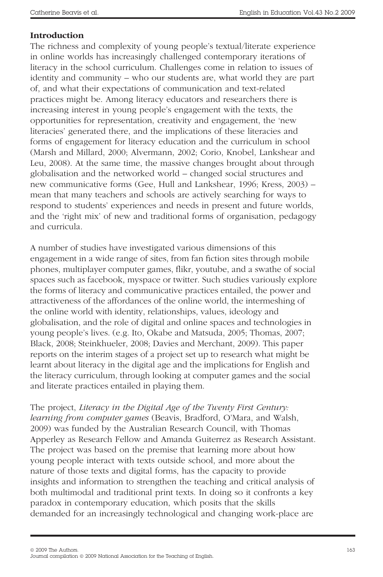# Introduction

The richness and complexity of young people's textual/literate experience in online worlds has increasingly challenged contemporary iterations of literacy in the school curriculum. Challenges come in relation to issues of identity and community – who our students are, what world they are part of, and what their expectations of communication and text-related practices might be. Among literacy educators and researchers there is increasing interest in young people's engagement with the texts, the opportunities for representation, creativity and engagement, the 'new literacies' generated there, and the implications of these literacies and forms of engagement for literacy education and the curriculum in school (Marsh and Millard, 2000; Alvermann, 2002; Corio, Knobel, Lankshear and Leu, 2008). At the same time, the massive changes brought about through globalisation and the networked world – changed social structures and new communicative forms (Gee, Hull and Lankshear, 1996; Kress, 2003) – mean that many teachers and schools are actively searching for ways to respond to students' experiences and needs in present and future worlds, and the 'right mix' of new and traditional forms of organisation, pedagogy and curricula.

A number of studies have investigated various dimensions of this engagement in a wide range of sites, from fan fiction sites through mobile phones, multiplayer computer games, flikr, youtube, and a swathe of social spaces such as facebook, myspace or twitter. Such studies variously explore the forms of literacy and communicative practices entailed, the power and attractiveness of the affordances of the online world, the intermeshing of the online world with identity, relationships, values, ideology and globalisation, and the role of digital and online spaces and technologies in young people's lives. (e.g. Ito, Okabe and Matsuda, 2005; Thomas, 2007; Black, 2008; Steinkhueler, 2008; Davies and Merchant, 2009). This paper reports on the interim stages of a project set up to research what might be learnt about literacy in the digital age and the implications for English and the literacy curriculum, through looking at computer games and the social and literate practices entailed in playing them.

The project, Literacy in the Digital Age of the Twenty First Century: learning from computer games (Beavis, Bradford, O'Mara, and Walsh, 2009) was funded by the Australian Research Council, with Thomas Apperley as Research Fellow and Amanda Guiterrez as Research Assistant. The project was based on the premise that learning more about how young people interact with texts outside school, and more about the nature of those texts and digital forms, has the capacity to provide insights and information to strengthen the teaching and critical analysis of both multimodal and traditional print texts. In doing so it confronts a key paradox in contemporary education, which posits that the skills demanded for an increasingly technological and changing work-place are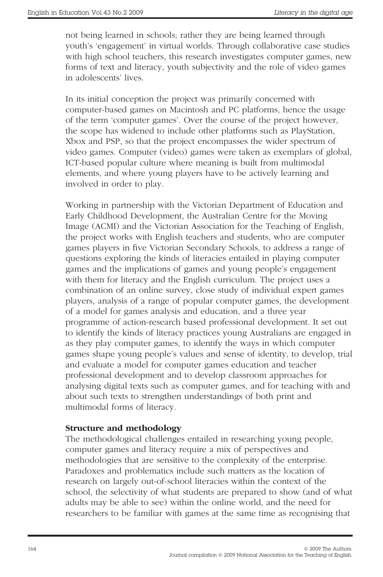not being learned in schools; rather they are being learned through youth's 'engagement' in virtual worlds. Through collaborative case studies with high school teachers, this research investigates computer games, new forms of text and literacy, youth subjectivity and the role of video games in adolescents' lives.

In its initial conception the project was primarily concerned with computer-based games on Macintosh and PC platforms, hence the usage of the term 'computer games'. Over the course of the project however, the scope has widened to include other platforms such as PlayStation, Xbox and PSP, so that the project encompasses the wider spectrum of video games. Computer (video) games were taken as exemplars of global, ICT-based popular culture where meaning is built from multimodal elements, and where young players have to be actively learning and involved in order to play.

Working in partnership with the Victorian Department of Education and Early Childhood Development, the Australian Centre for the Moving Image (ACMI) and the Victorian Association for the Teaching of English, the project works with English teachers and students, who are computer games players in five Victorian Secondary Schools, to address a range of questions exploring the kinds of literacies entailed in playing computer games and the implications of games and young people's engagement with them for literacy and the English curriculum. The project uses a combination of an online survey, close study of individual expert games players, analysis of a range of popular computer games, the development of a model for games analysis and education, and a three year programme of action-research based professional development. It set out to identify the kinds of literacy practices young Australians are engaged in as they play computer games, to identify the ways in which computer games shape young people's values and sense of identity, to develop, trial and evaluate a model for computer games education and teacher professional development and to develop classroom approaches for analysing digital texts such as computer games, and for teaching with and about such texts to strengthen understandings of both print and multimodal forms of literacy.

#### Structure and methodology

The methodological challenges entailed in researching young people, computer games and literacy require a mix of perspectives and methodologies that are sensitive to the complexity of the enterprise. Paradoxes and problematics include such matters as the location of research on largely out-of-school literacies within the context of the school, the selectivity of what students are prepared to show (and of what adults may be able to see) within the online world, and the need for researchers to be familiar with games at the same time as recognising that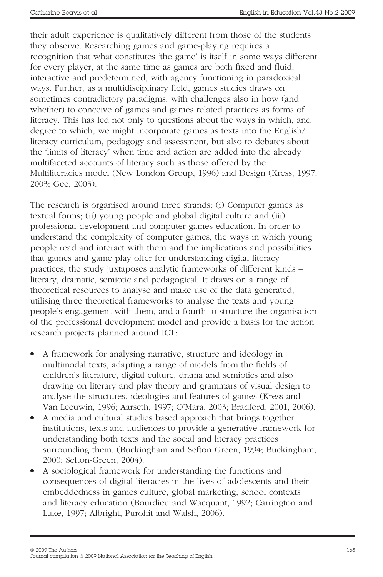their adult experience is qualitatively different from those of the students they observe. Researching games and game-playing requires a recognition that what constitutes 'the game' is itself in some ways different for every player, at the same time as games are both fixed and fluid, interactive and predetermined, with agency functioning in paradoxical ways. Further, as a multidisciplinary field, games studies draws on sometimes contradictory paradigms, with challenges also in how (and whether) to conceive of games and games related practices as forms of literacy. This has led not only to questions about the ways in which, and degree to which, we might incorporate games as texts into the English/ literacy curriculum, pedagogy and assessment, but also to debates about the 'limits of literacy' when time and action are added into the already multifaceted accounts of literacy such as those offered by the Multiliteracies model (New London Group, 1996) and Design (Kress, 1997, 2003; Gee, 2003).

The research is organised around three strands: (i) Computer games as textual forms; (ii) young people and global digital culture and (iii) professional development and computer games education. In order to understand the complexity of computer games, the ways in which young people read and interact with them and the implications and possibilities that games and game play offer for understanding digital literacy practices, the study juxtaposes analytic frameworks of different kinds – literary, dramatic, semiotic and pedagogical. It draws on a range of theoretical resources to analyse and make use of the data generated, utilising three theoretical frameworks to analyse the texts and young people's engagement with them, and a fourth to structure the organisation of the professional development model and provide a basis for the action research projects planned around ICT:

- <sup>l</sup> A framework for analysing narrative, structure and ideology in multimodal texts, adapting a range of models from the fields of children's literature, digital culture, drama and semiotics and also drawing on literary and play theory and grammars of visual design to analyse the structures, ideologies and features of games (Kress and Van Leeuwin, 1996; Aarseth, 1997; O'Mara, 2003; Bradford, 2001, 2006).
- <sup>l</sup> A media and cultural studies based approach that brings together institutions, texts and audiences to provide a generative framework for understanding both texts and the social and literacy practices surrounding them. (Buckingham and Sefton Green, 1994; Buckingham, 2000; Sefton-Green, 2004).
- A sociological framework for understanding the functions and consequences of digital literacies in the lives of adolescents and their embeddedness in games culture, global marketing, school contexts and literacy education (Bourdieu and Wacquant, 1992; Carrington and Luke, 1997; Albright, Purohit and Walsh, 2006).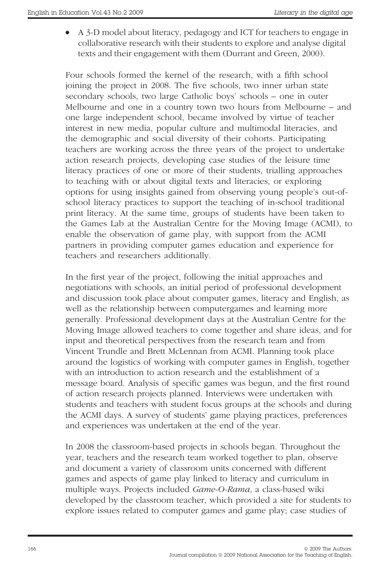• A 3-D model about literacy, pedagogy and ICT for teachers to engage in collaborative research with their students to explore and analyse digital texts and their engagement with them (Durrant and Green, 2000).

Four schools formed the kernel of the research, with a fifth school joining the project in 2008. The five schools, two inner urban state secondary schools, two large Catholic boys' schools – one in outer Melbourne and one in a country town two hours from Melbourne – and one large independent school, became involved by virtue of teacher interest in new media, popular culture and multimodal literacies, and the demographic and social diversity of their cohorts. Participating teachers are working across the three years of the project to undertake action research projects, developing case studies of the leisure time literacy practices of one or more of their students, trialling approaches to teaching with or about digital texts and literacies, or exploring options for using insights gained from observing young people's out-ofschool literacy practices to support the teaching of in-school traditional print literacy. At the same time, groups of students have been taken to the Games Lab at the Australian Centre for the Moving Image (ACMI), to enable the observation of game play, with support from the ACMI partners in providing computer games education and experience for teachers and researchers additionally.

In the first year of the project, following the initial approaches and negotiations with schools, an initial period of professional development and discussion took place about computer games, literacy and English, as well as the relationship between computergames and learning more generally. Professional development days at the Australian Centre for the Moving Image allowed teachers to come together and share ideas, and for input and theoretical perspectives from the research team and from Vincent Trundle and Brett McLennan from ACMI. Planning took place around the logistics of working with computer games in English, together with an introduction to action research and the establishment of a message board. Analysis of specific games was begun, and the first round of action research projects planned. Interviews were undertaken with students and teachers with student focus groups at the schools and during the ACMI days. A survey of students' game playing practices, preferences and experiences was undertaken at the end of the year.

In 2008 the classroom-based projects in schools began. Throughout the year, teachers and the research team worked together to plan, observe and document a variety of classroom units concerned with different games and aspects of game play linked to literacy and curriculum in multiple ways. Projects included Game-O-Rama, a class-based wiki developed by the classroom teacher, which provided a site for students to explore issues related to computer games and game play; case studies of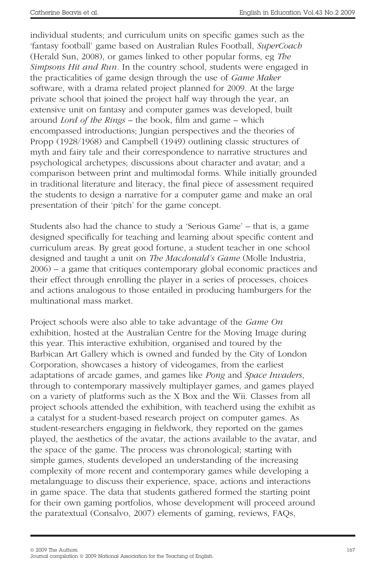individual students; and curriculum units on specific games such as the 'fantasy football' game based on Australian Rules Football, SuperCoach (Herald Sun, 2008), or games linked to other popular forms, eg The Simpsons Hit and Run. In the country school, students were engaged in the practicalities of game design through the use of Game Maker software, with a drama related project planned for 2009. At the large private school that joined the project half way through the year, an extensive unit on fantasy and computer games was developed, built around Lord of the Rings – the book, film and game – which encompassed introductions; Jungian perspectives and the theories of Propp (1928/1968) and Campbell (1949) outlining classic structures of myth and fairy tale and their correspondence to narrative structures and psychological archetypes; discussions about character and avatar; and a comparison between print and multimodal forms. While initially grounded in traditional literature and literacy, the final piece of assessment required the students to design a narrative for a computer game and make an oral presentation of their 'pitch' for the game concept.

Students also had the chance to study a 'Serious Game' – that is, a game designed specifically for teaching and learning about specific content and curriculum areas. By great good fortune, a student teacher in one school designed and taught a unit on The Macdonald's Game (Molle Industria, 2006) – a game that critiques contemporary global economic practices and their effect through enrolling the player in a series of processes, choices and actions analogous to those entailed in producing hamburgers for the multinational mass market.

Project schools were also able to take advantage of the Game On exhibition, hosted at the Australian Centre for the Moving Image during this year. This interactive exhibition, organised and toured by the Barbican Art Gallery which is owned and funded by the City of London Corporation, showcases a history of videogames, from the earliest adaptations of arcade games, and games like Pong and Space Invaders, through to contemporary massively multiplayer games, and games played on a variety of platforms such as the X Box and the Wii. Classes from all project schools attended the exhibition, with teacherd using the exhibit as a catalyst for a student-based research project on computer games. As student-researchers engaging in fieldwork, they reported on the games played, the aesthetics of the avatar, the actions available to the avatar, and the space of the game. The process was chronological; starting with simple games, students developed an understanding of the increasing complexity of more recent and contemporary games while developing a metalanguage to discuss their experience, space, actions and interactions in game space. The data that students gathered formed the starting point for their own gaming portfolios, whose development will proceed around the paratextual (Consalvo, 2007) elements of gaming, reviews, FAQs,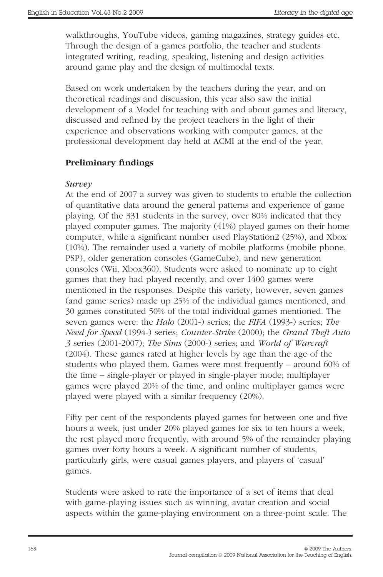walkthroughs, YouTube videos, gaming magazines, strategy guides etc. Through the design of a games portfolio, the teacher and students integrated writing, reading, speaking, listening and design activities around game play and the design of multimodal texts.

Based on work undertaken by the teachers during the year, and on theoretical readings and discussion, this year also saw the initial development of a Model for teaching with and about games and literacy, discussed and refined by the project teachers in the light of their experience and observations working with computer games, at the professional development day held at ACMI at the end of the year.

# Preliminary findings

# Survey

At the end of 2007 a survey was given to students to enable the collection of quantitative data around the general patterns and experience of game playing. Of the 331 students in the survey, over 80% indicated that they played computer games. The majority (41%) played games on their home computer, while a significant number used PlayStation2 (25%), and Xbox (10%). The remainder used a variety of mobile platforms (mobile phone, PSP), older generation consoles (GameCube), and new generation consoles (Wii, Xbox360). Students were asked to nominate up to eight games that they had played recently, and over 1400 games were mentioned in the responses. Despite this variety, however, seven games (and game series) made up 25% of the individual games mentioned, and 30 games constituted 50% of the total individual games mentioned. The seven games were: the Halo (2001-) series; the FIFA (1993-) series; The Need for Speed (1994-) series; Counter-Strike (2000); the Grand Theft Auto 3 series (2001-2007); The Sims (2000-) series; and World of Warcraft (2004). These games rated at higher levels by age than the age of the students who played them. Games were most frequently – around 60% of the time – single-player or played in single-player mode; multiplayer games were played 20% of the time, and online multiplayer games were played were played with a similar frequency (20%).

Fifty per cent of the respondents played games for between one and five hours a week, just under 20% played games for six to ten hours a week, the rest played more frequently, with around 5% of the remainder playing games over forty hours a week. A significant number of students, particularly girls, were casual games players, and players of 'casual' games.

Students were asked to rate the importance of a set of items that deal with game-playing issues such as winning, avatar creation and social aspects within the game-playing environment on a three-point scale. The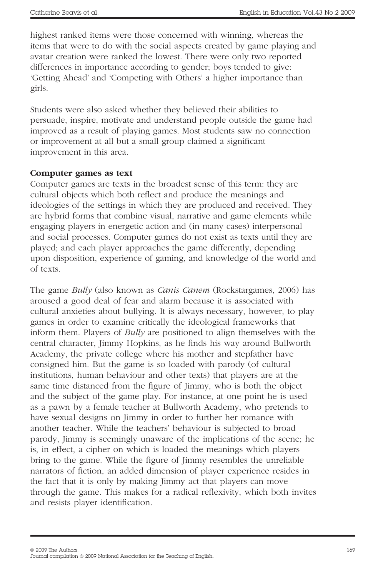highest ranked items were those concerned with winning, whereas the items that were to do with the social aspects created by game playing and avatar creation were ranked the lowest. There were only two reported differences in importance according to gender; boys tended to give: 'Getting Ahead' and 'Competing with Others' a higher importance than girls.

Students were also asked whether they believed their abilities to persuade, inspire, motivate and understand people outside the game had improved as a result of playing games. Most students saw no connection or improvement at all but a small group claimed a significant improvement in this area.

#### Computer games as text

Computer games are texts in the broadest sense of this term: they are cultural objects which both reflect and produce the meanings and ideologies of the settings in which they are produced and received. They are hybrid forms that combine visual, narrative and game elements while engaging players in energetic action and (in many cases) interpersonal and social processes. Computer games do not exist as texts until they are played; and each player approaches the game differently, depending upon disposition, experience of gaming, and knowledge of the world and of texts.

The game *Bully* (also known as *Canis Canem* (Rockstargames, 2006) has aroused a good deal of fear and alarm because it is associated with cultural anxieties about bullying. It is always necessary, however, to play games in order to examine critically the ideological frameworks that inform them. Players of Bully are positioned to align themselves with the central character, Jimmy Hopkins, as he finds his way around Bullworth Academy, the private college where his mother and stepfather have consigned him. But the game is so loaded with parody (of cultural institutions, human behaviour and other texts) that players are at the same time distanced from the figure of Jimmy, who is both the object and the subject of the game play. For instance, at one point he is used as a pawn by a female teacher at Bullworth Academy, who pretends to have sexual designs on Jimmy in order to further her romance with another teacher. While the teachers' behaviour is subjected to broad parody, Jimmy is seemingly unaware of the implications of the scene; he is, in effect, a cipher on which is loaded the meanings which players bring to the game. While the figure of Jimmy resembles the unreliable narrators of fiction, an added dimension of player experience resides in the fact that it is only by making Jimmy act that players can move through the game. This makes for a radical reflexivity, which both invites and resists player identification.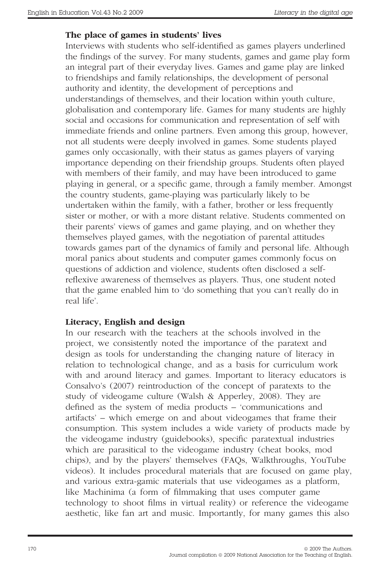# The place of games in students' lives

Interviews with students who self-identified as games players underlined the findings of the survey. For many students, games and game play form an integral part of their everyday lives. Games and game play are linked to friendships and family relationships, the development of personal authority and identity, the development of perceptions and understandings of themselves, and their location within youth culture, globalisation and contemporary life. Games for many students are highly social and occasions for communication and representation of self with immediate friends and online partners. Even among this group, however, not all students were deeply involved in games. Some students played games only occasionally, with their status as games players of varying importance depending on their friendship groups. Students often played with members of their family, and may have been introduced to game playing in general, or a specific game, through a family member. Amongst the country students, game-playing was particularly likely to be undertaken within the family, with a father, brother or less frequently sister or mother, or with a more distant relative. Students commented on their parents' views of games and game playing, and on whether they themselves played games, with the negotiation of parental attitudes towards games part of the dynamics of family and personal life. Although moral panics about students and computer games commonly focus on questions of addiction and violence, students often disclosed a selfreflexive awareness of themselves as players. Thus, one student noted that the game enabled him to 'do something that you can't really do in real life'.

# Literacy, English and design

In our research with the teachers at the schools involved in the project, we consistently noted the importance of the paratext and design as tools for understanding the changing nature of literacy in relation to technological change, and as a basis for curriculum work with and around literacy and games. Important to literacy educators is Consalvo's (2007) reintroduction of the concept of paratexts to the study of videogame culture (Walsh & Apperley, 2008). They are defined as the system of media products – 'communications and artifacts' – which emerge on and about videogames that frame their consumption. This system includes a wide variety of products made by the videogame industry (guidebooks), specific paratextual industries which are parasitical to the videogame industry (cheat books, mod chips), and by the players' themselves (FAQs, Walkthroughs, YouTube videos). It includes procedural materials that are focused on game play, and various extra-gamic materials that use videogames as a platform, like Machinima (a form of filmmaking that uses computer game technology to shoot films in virtual reality) or reference the videogame aesthetic, like fan art and music. Importantly, for many games this also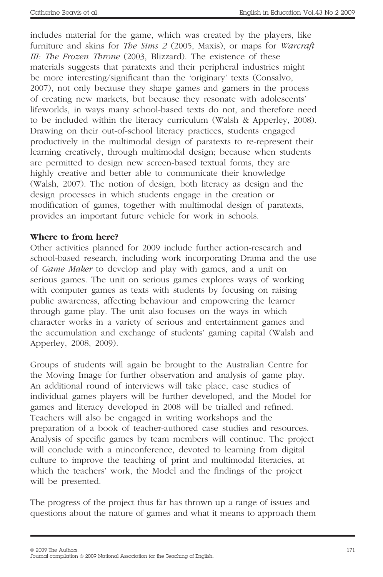includes material for the game, which was created by the players, like furniture and skins for The Sims 2 (2005, Maxis), or maps for Warcraft III: The Frozen Throne (2003, Blizzard). The existence of these materials suggests that paratexts and their peripheral industries might be more interesting/significant than the 'originary' texts (Consalvo, 2007), not only because they shape games and gamers in the process of creating new markets, but because they resonate with adolescents' lifeworlds, in ways many school-based texts do not, and therefore need to be included within the literacy curriculum (Walsh & Apperley, 2008). Drawing on their out-of-school literacy practices, students engaged productively in the multimodal design of paratexts to re-represent their learning creatively, through multimodal design; because when students are permitted to design new screen-based textual forms, they are highly creative and better able to communicate their knowledge (Walsh, 2007). The notion of design, both literacy as design and the design processes in which students engage in the creation or modification of games, together with multimodal design of paratexts, provides an important future vehicle for work in schools.

### Where to from here?

Other activities planned for 2009 include further action-research and school-based research, including work incorporating Drama and the use of Game Maker to develop and play with games, and a unit on serious games. The unit on serious games explores ways of working with computer games as texts with students by focusing on raising public awareness, affecting behaviour and empowering the learner through game play. The unit also focuses on the ways in which character works in a variety of serious and entertainment games and the accumulation and exchange of students' gaming capital (Walsh and Apperley, 2008, 2009).

Groups of students will again be brought to the Australian Centre for the Moving Image for further observation and analysis of game play. An additional round of interviews will take place, case studies of individual games players will be further developed, and the Model for games and literacy developed in 2008 will be trialled and refined. Teachers will also be engaged in writing workshops and the preparation of a book of teacher-authored case studies and resources. Analysis of specific games by team members will continue. The project will conclude with a minconference, devoted to learning from digital culture to improve the teaching of print and multimodal literacies, at which the teachers' work, the Model and the findings of the project will be presented.

The progress of the project thus far has thrown up a range of issues and questions about the nature of games and what it means to approach them

ª 2009 The Authors. 171 Journal compilation © 2009 National Association for the Teaching of English.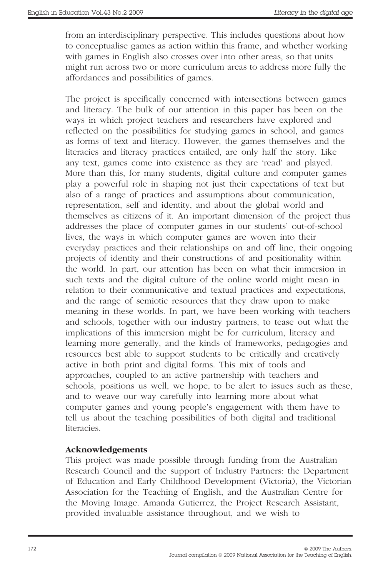from an interdisciplinary perspective. This includes questions about how to conceptualise games as action within this frame, and whether working with games in English also crosses over into other areas, so that units might run across two or more curriculum areas to address more fully the affordances and possibilities of games.

The project is specifically concerned with intersections between games and literacy. The bulk of our attention in this paper has been on the ways in which project teachers and researchers have explored and reflected on the possibilities for studying games in school, and games as forms of text and literacy. However, the games themselves and the literacies and literacy practices entailed, are only half the story. Like any text, games come into existence as they are 'read' and played. More than this, for many students, digital culture and computer games play a powerful role in shaping not just their expectations of text but also of a range of practices and assumptions about communication, representation, self and identity, and about the global world and themselves as citizens of it. An important dimension of the project thus addresses the place of computer games in our students' out-of-school lives, the ways in which computer games are woven into their everyday practices and their relationships on and off line, their ongoing projects of identity and their constructions of and positionality within the world. In part, our attention has been on what their immersion in such texts and the digital culture of the online world might mean in relation to their communicative and textual practices and expectations, and the range of semiotic resources that they draw upon to make meaning in these worlds. In part, we have been working with teachers and schools, together with our industry partners, to tease out what the implications of this immersion might be for curriculum, literacy and learning more generally, and the kinds of frameworks, pedagogies and resources best able to support students to be critically and creatively active in both print and digital forms. This mix of tools and approaches, coupled to an active partnership with teachers and schools, positions us well, we hope, to be alert to issues such as these, and to weave our way carefully into learning more about what computer games and young people's engagement with them have to tell us about the teaching possibilities of both digital and traditional literacies.

# Acknowledgements

This project was made possible through funding from the Australian Research Council and the support of Industry Partners: the Department of Education and Early Childhood Development (Victoria), the Victorian Association for the Teaching of English, and the Australian Centre for the Moving Image. Amanda Gutierrez, the Project Research Assistant, provided invaluable assistance throughout, and we wish to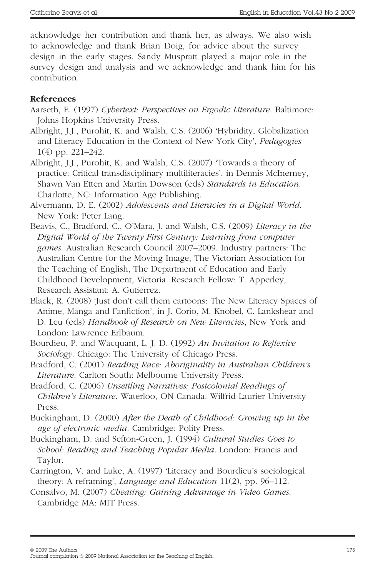acknowledge her contribution and thank her, as always. We also wish to acknowledge and thank Brian Doig, for advice about the survey design in the early stages. Sandy Muspratt played a major role in the survey design and analysis and we acknowledge and thank him for his contribution.

#### References

- Aarseth, E. (1997) Cybertext: Perspectives on Ergodic Literature. Baltimore: Johns Hopkins University Press.
- Albright, J.J., Purohit, K. and Walsh, C.S. (2006) 'Hybridity, Globalization and Literacy Education in the Context of New York City', Pedagogies 1(4) pp. 221–242.
- Albright, J.J., Purohit, K. and Walsh, C.S. (2007) 'Towards a theory of practice: Critical transdisciplinary multiliteracies', in Dennis McInerney, Shawn Van Etten and Martin Dowson (eds) Standards in Education. Charlotte, NC: Information Age Publishing.
- Alvermann, D. E. (2002) Adolescents and Literacies in a Digital World. New York: Peter Lang.
- Beavis, C., Bradford, C., O'Mara, J. and Walsh, C.S. (2009) Literacy in the Digital World of the Twenty First Century: Learning from computer games. Australian Research Council 2007–2009. Industry partners: The Australian Centre for the Moving Image, The Victorian Association for the Teaching of English, The Department of Education and Early Childhood Development, Victoria. Research Fellow: T. Apperley, Research Assistant: A. Gutierrez.
- Black, R. (2008) 'Just don't call them cartoons: The New Literacy Spaces of Anime, Manga and Fanfiction', in J. Corio, M. Knobel, C. Lankshear and D. Leu (eds) Handbook of Research on New Literacies, New York and London: Lawrence Erlbaum.
- Bourdieu, P. and Wacquant, L. J. D. (1992) An Invitation to Reflexive Sociology. Chicago: The University of Chicago Press.
- Bradford, C. (2001) Reading Race: Aboriginality in Australian Children's Literature. Carlton South: Melbourne University Press.
- Bradford, C. (2006) Unsettling Narratives: Postcolonial Readings of Children's Literature. Waterloo, ON Canada: Wilfrid Laurier University Press.
- Buckingham, D. (2000) After the Death of Childhood: Growing up in the age of electronic media. Cambridge: Polity Press.
- Buckingham, D. and Sefton-Green, J. (1994) Cultural Studies Goes to School: Reading and Teaching Popular Media. London: Francis and Taylor.
- Carrington, V. and Luke, A. (1997) 'Literacy and Bourdieu's sociological theory: A reframing', Language and Education 11(2), pp. 96–112.
- Consalvo, M. (2007) Cheating: Gaining Advantage in Video Games. Cambridge MA: MIT Press.

ª 2009 The Authors. 173

Journal compilation © 2009 National Association for the Teaching of English.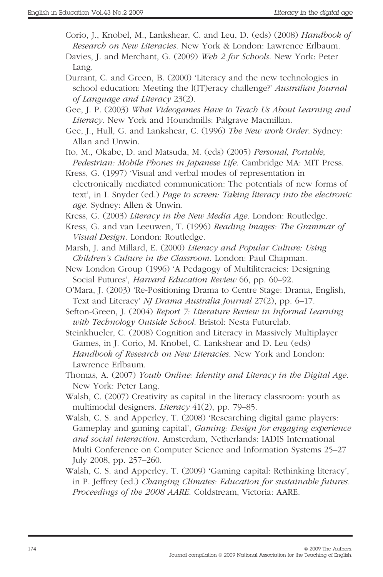Corio, J., Knobel, M., Lankshear, C. and Leu, D. (eds) (2008) Handbook of Research on New Literacies. New York & London: Lawrence Erlbaum.

Davies, J. and Merchant, G. (2009) Web 2 for Schools. New York: Peter Lang.

Durrant, C. and Green, B. (2000) 'Literacy and the new technologies in school education: Meeting the l(IT)eracy challenge?' Australian Journal of Language and Literacy 23(2).

Gee, J. P. (2003) What Videogames Have to Teach Us About Learning and Literacy. New York and Houndmills: Palgrave Macmillan.

Gee, J., Hull, G. and Lankshear, C. (1996) The New work Order. Sydney: Allan and Unwin.

Ito, M., Okabe, D. and Matsuda, M. (eds) (2005) Personal, Portable, Pedestrian: Mobile Phones in Japanese Life. Cambridge MA: MIT Press.

- Kress, G. (1997) 'Visual and verbal modes of representation in electronically mediated communication: The potentials of new forms of text', in I. Snyder (ed.) Page to screen: Taking literacy into the electronic age. Sydney: Allen & Unwin.
- Kress, G. (2003) Literacy in the New Media Age. London: Routledge.

Kress, G. and van Leeuwen, T. (1996) Reading Images: The Grammar of Visual Design. London: Routledge.

- Marsh, J. and Millard, E. (2000) Literacy and Popular Culture: Using Children's Culture in the Classroom. London: Paul Chapman.
- New London Group (1996) 'A Pedagogy of Multiliteracies: Designing Social Futures', *Harvard Education Review* 66, pp. 60–92.
- O'Mara, J. (2003) 'Re-Positioning Drama to Centre Stage: Drama, English, Text and Literacy' NJ Drama Australia Journal 27(2), pp. 6–17.
- Sefton-Green, J. (2004) Report 7: Literature Review in Informal Learning with Technology Outside School. Bristol: Nesta Futurelab.
- Steinkhueler, C. (2008) Cognition and Literacy in Massively Multiplayer Games, in J. Corio, M. Knobel, C. Lankshear and D. Leu (eds) Handbook of Research on New Literacies. New York and London: Lawrence Erlbaum.
- Thomas, A. (2007) Youth Online: Identity and Literacy in the Digital Age. New York: Peter Lang.
- Walsh, C. (2007) Creativity as capital in the literacy classroom: youth as multimodal designers. Literacy 41(2), pp. 79–85.
- Walsh, C. S. and Apperley, T. (2008) 'Researching digital game players: Gameplay and gaming capital', Gaming: Design for engaging experience and social interaction. Amsterdam, Netherlands: IADIS International Multi Conference on Computer Science and Information Systems 25–27 July 2008, pp. 257–260.
- Walsh, C. S. and Apperley, T. (2009) 'Gaming capital: Rethinking literacy', in P. Jeffrey (ed.) Changing Climates: Education for sustainable futures. Proceedings of the 2008 AARE. Coldstream, Victoria: AARE.